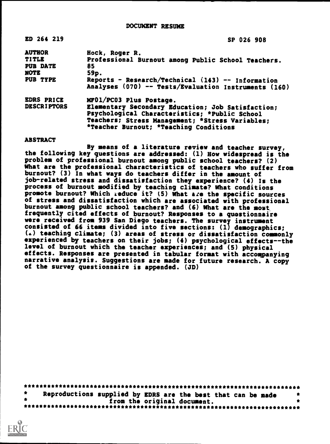| ED 264 219                                                                  | SP 026 908                                                                                                                                                                                                                 |
|-----------------------------------------------------------------------------|----------------------------------------------------------------------------------------------------------------------------------------------------------------------------------------------------------------------------|
| <b>AUTHOR</b><br><b>TITLE</b><br><b>PUB DATE</b><br><b>NOTE</b><br>PUB TYPE | Hock, Roger R.<br>Professional Burnout among Public School Teachers.<br>85<br>59p.<br>Reports - Research/Technical (143) -- Information<br>Analyses (070) -- Tests/Evaluation Instruments (160)                            |
| EDRS PRICE<br><b>DESCRIPTORS</b>                                            | MF01/PC03 Plus Postage.<br>Elementary Secondary Education; Job Satisfaction;<br>Psychological Characteristics; *Public School<br>Teachers; Stress Management; *Stress Variables;<br>*Teacher Burnout; *Teaching Conditions |

ABSTRACT

By means of a literature review and teacher survey, the following key questions are addressed: (1) How widespread is the problem of professional burnout among public school teachers? (2) What are the professional characteristics of teachers who suffer from burnout? (3) In what ways do teachers differ in the amount of job-related stress and dissatisfaction they experience? (4) Is the process of burnout modified by teaching climate? What conditions promote burnout? Which &educe it? (5) What are the specific sources of stress and dissatisfaction which are associated with professional burnout among public school teachers? and (6) What are the most frequently cited effects of burnout? Responses to a questionnaire were received from 939 San Diego teachers. The survey instrument consisted of 66 items divided into five sections: (1) demographics; () teaching climate; (3) areas of stress or dissatisfaction commonly experienced by teachers on their jobs; (4) psychological effects--the level of burnout which the teacher experiences; and (5) physical effects. Responses are presented in tabular format with accompanying narrative analysis. Suggestions are made for future research. A copy of the survey questionnaire is appended. (JD)

\*\*\*\*\*\*\*\*\*\*\*\*\*\*\*\*\*\*\* **Reproductions supp** \*\*\*\*\*\*\*\*\*\*\*\*\*\*\*\*\*\*\*\*\*\*\*\*\*\*\*\*\*\*\*\*\*\*\*\*\*\*\*\*\*\*\*\*\*\*\*\*\*\*\*\*\*\*\*\*\*\*\*\*\*\*\*\*\*\*\*\*\*\*\*\* ions supplied by EDRS are the best that can be made from the original document. \*\*\*\*\*\*\*\*\*\*\*\*\*\*\*\*\*\*\*\*\*\*\*\*\*\*\*\*\*\*\*\*\*\*\*\*\*\*\*\*\*\*\*\*\*\*\*\*\*\*\*\*\*\*\*\*\*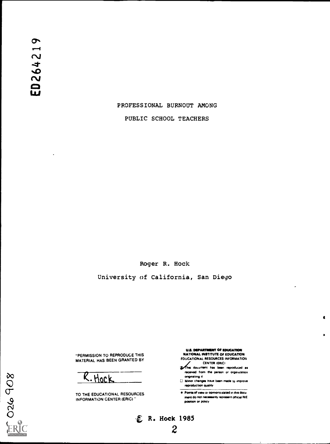# PROFESSIONAL BURNOUT AMONG

PUBLIC SCHOOL TEACHERS

Roger R. Hock

University of California, San Diego

 $E$  R. Hock 1985

2

"PERMISSION TO REPRODUCE THIS MATERIAL HAS BEEN GRANTED BY

(L Noe V.

TO THE EDUCATIONAL RESOURCES INFORMATION CENTER (ERIC) "

U.S. DEPARTMENT OF EDUCATION NATIONAL INSTITUTE OF EDUCATION EDUCATIONAL RESOURCES INFORMATION  $\blacksquare$ 

 $\bullet$ 

- **CENTER INC.** THE CENTER IS DEED THE REPORT OF THE REPORT OF THE REPORT OF THE REPORT OF THE REPORT OF THE REPORT OF THE REPORT OF THE REPORT OF THE REPORT OF THE REPORT OF THE REPORT OF THE REPORT OF THE REPORT OF THE REP
- received from the person or organization originating it
- 0 Minor changes have been made to improve reproduction Quality
- Pants of view or opirtiOrs stated on this docu ment do not necessarily represent official NIE position or policy

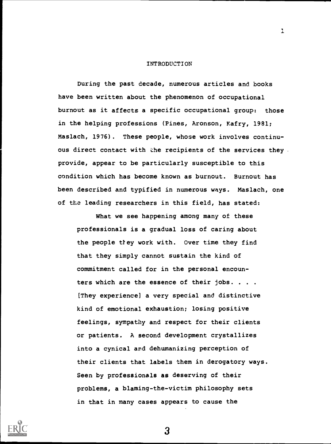#### INTRODUCTION

 $\mathbf{L}$ 

During the past decade, numerous articles and books have been written about the phenomenon of occupational burnout as it affects a specific occupational group: those in the helping professions (Pines, Aronson, Kafry, 1981; Maslach, 1976). These people, whose work involves continuous direct contact with the recipients of the services they . provide, appear to be particularly susceptible to this condition which has become known as burnout. Burnout has been described and typified in numerous ways. Maslach, one of the leading researchers in this field, has stated:

What we see happening among many of these professionals is a gradual loss of caring about the people they work with. Over time they find that they simply cannot sustain the kind of commitment called for in the personal encounters which are the essence of their jobs. . . . [They experience] a very special and distinctive kind of emotional exhaustion; losing positive feelings, sympathy and respect for their clients or patients. A second development crystallizes into a cynical and dehumanizing perception of their clients that labels them in derogatory ways. Seen by professionals as deserving of their problems, a blaming-the-victim philosophy sets in that in many cases appears to cause the

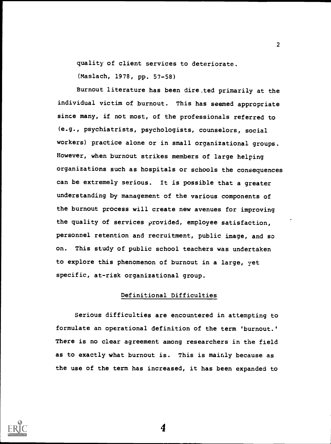quality of client services to deteriorate.

(Maslach, 1978, pp. 57-58)

Burnout literature has been dire.ted primarily at the individual victim of burnout. This has seemed appropriate since many, if not most, of the professionals referred to (e.g., psychiatrists, psychologists, counselors, social workers) practice alone or in small organizational groups. However, when burnout strikes members of large helping organizations such as hospitals or schools the consequences can be extremely serious. It is possible that a greater understanding by management of the various components of the burnout process will create new avenues for improving the quality of services provided, employee satisfaction, personnel retention and recruitment, public image, and so on. This study of public school teachers was undertaken to explore this phenomenon of burnout in a large, yet specific, at-risk organizational group.

# Definitional Difficulties

Serious difficulties are encountered in attempting to formulate an operational definition of the term 'burnout.' There is no clear agreement among researchers in the field as to exactly what burnout is. This is mainly because as the use of the term has increased, it has been expanded to



4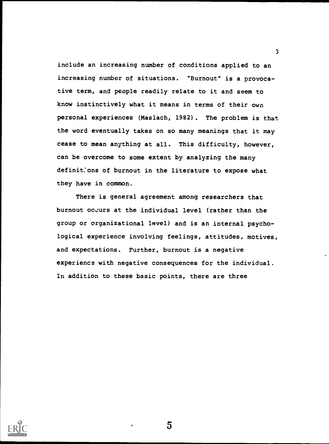include an increasing number of conditions applied to an increasing number of situations. "Burnout" is a provocative term, and people readily relate to it and seem to know instinctively what it means in terms of their own personal experiences (Maslach, 1982). The problem is that the word eventually takes on so many meanings that it may cease to mean anything at all. This difficulty, however, can be overcome to some extent by analyzing the many definitions of burnout in the literature to expose what they have in common.

There is general agreement among researchers that burnout oclurs at the individual level (rather than the group or organizational level) and is an internal psychological experience involving feelings, attitudes, motives, and expectations. Further, burnout is a negative experience with negative consequences for the individual. In addition to these basic points, there are three



5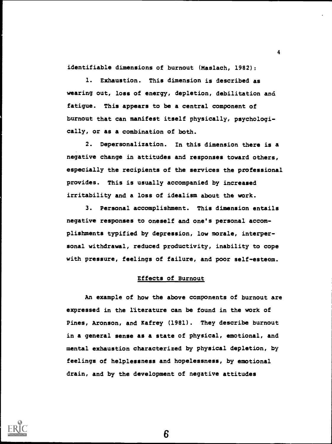identifiable dimensions of burnout (Maslach, 1982):

1. Exhaustion. This dimension is described as wearing out, loss of energy, depletion, debilitation and fatigue. This appears to be a central component of burnout that can manifest itself physically, psychologically, or as a combination of both.

4

2. Depersonalization. In this dimension there is a negative change in attitudes and responses toward others, especially the recipients of the services the professional provides. This is usually accompanied by increased irritability and a loss of idealism about the work.

3. Personal accomplishment. This dimension entails negative responses to oneself and one's personal accomplishments typified by depression, low morale, interpersonal withdrawal, reduced productivity, inability to cope with pressure, feelings of failure, and poor self-esteem.

### Effects of Burnout

An example of how the above components of burnout are expressed in the literature can be found in the work of Pines, Aronson, and Kafrey (1981). They describe burnout in a general sense as a state of physical, emotional, and mental exhaustion characterized by physical depletion, by feelings of helplessness and hopelessness, by emotional drain, and by the development of negative attitudes

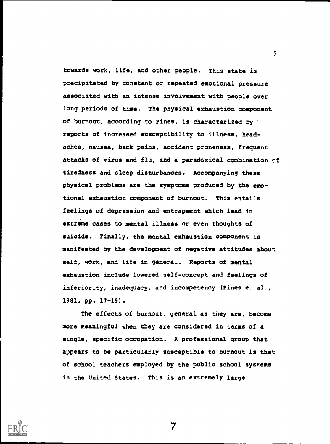towards work, life, and other people. This state is precipitated by constant or repeated emotional pressure associated with an intense involvement with people over long periods of time. The physical exhaustion component of burnout, according to Pines, is characterized by reports of increased susceptibility to illness, headaches, nausea, back pains, accident proneness, frequent attacks of virus and flu, and a paradoxical combination  $cf$ tiredness and sleep disturbances. Accompanying these physical problems are the symptoms produced by the emotional exhaustion component of burnout. This entails feelings of depression and entrapment which lead in extreme cases to mental illness or even thoughts of suicide. Finally, the mental exhaustion component is manifested by the development of negative attitudes about self, work, and life in general. Reports of mental exhaustion include lowered self-concept and feelings of inferiority, inadequacy, and incompetency (Pines et al., 1981, pp. 17-19).

5

The effects of burnout, general as they are, become more meaningful when they are considered in terms of a single, specific occupation. A professional group that appears to be particularly susceptible to burnout is that of school teachers employed by the public school systems in the United States. This is an extremely large

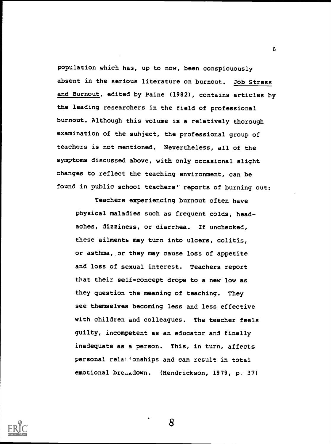population which has, up to now, been conspicuously absent in the serious literature on burnout. Job Stress and Burnout, edited by Paine (1982), contains articles by the leading researchers in the field of professional burnout. Although this volume is a relatively thorough examination of the subject, the professional group of teachers is not mentioned. Nevertheless, all of the symptoms discussed above, with only occasional slight changes to reflect the teaching environment, can be found in public school teachers' reports of burning out:

6

Teachers experiencing burnout often have physical maladies such as frequent colds, headaches, dizziness, or diarrhea. If unchecked, these ailments may turn into ulcers, colitis, or asthma, or they may cause loss of appetite and loss of sexual interest. Teachers report that their self-concept drops to a new low as they question the meaning of teaching. They see themselves becoming less and less effective with children and colleagues. The teacher feels guilty, incompetent as an educator and finally inadequate as a person. This, in turn, affects personal rela'ionships and can result in total emotional bre.Adown. (Hendrickson, 1979, p. 37)

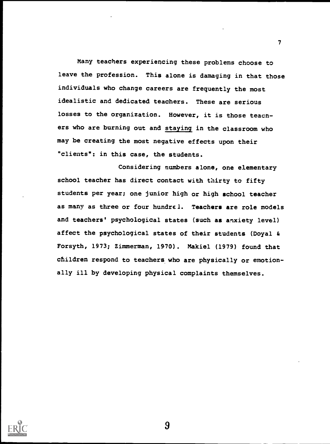Many teachers experiencing these problems choose to leave the profession. This alone is damaging in that those individuals who change careers are frequently the most idealistic and dedicated teachers. These are serious losses to the organization. However, it is those teacners who are burning out and staying in the classroom who may be creating the most negative effects upon their "clients": in this case, the students.

Considering numbers alone, one elementary school teacher has direct contact with thirty to fifty students per year; one junior high or high school teacher as many as three or four hundrel. Teachers are role models and teachers' psychological states (such as anxiety level) affect the psychological states of their students (Doyal & Forsyth, 1973; Zimmerman, 1970). Makiel (1979) found that children respond to teachers who are physically or emotionally ill by developing physical complaints themselves.



9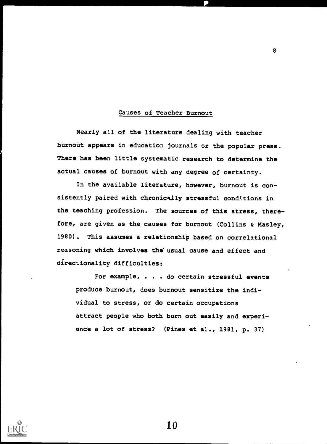#### Causes of Teacher Burnout

8

Nearly all of the literature dealing with teacher burnout appears in education journals or the popular press. There has been little systematic research to determine the actual causes of burnout with any degree of certainty.

In the available literature, however, burnout is consistently paired with chronically stressful conditions in the teaching profession. The sources of this stress, therefore, are given as the causes for burnout (Collins & Masley, 1980). This assumes a relationship based on correlational reasoning which involves the usual cause and effect and directionality difficulties:

For example, . . . do certain stressful events produce burnout, does burnout sensitize the individual to stress, or do certain occupations attract people who both burn out easily and experience a lot of stress? (Pines et al., 1981, p. 37)

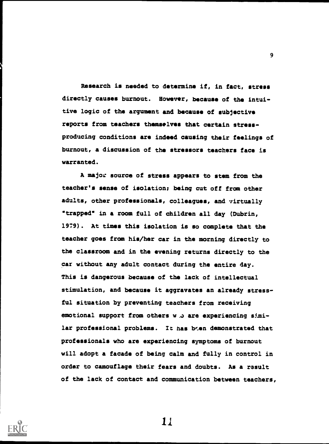Research is needed to determine if, in fact, stress directly causes burnout. However, because of the intuitive logic of the argument and because of subjective reports from teachers themselves that certain stressproducing conditions are indeed causing their feelings of burnout, a discussion of the stressors teachers face is warranted.

A major source of stress appears to stem from the teacher's sense of isolation; being cut off from other adults, other professionals, colleagues, and virtually "trapped" in a room full of children all day (Dubrin, 1979). At times this isolation is so complete that the teacher goes from his/her car in the morning directly to the classroom and in the evening returns directly to the car without any adult contact during the entire day. This is dangerous because of the lack of intellectual stimulation, and because it aggravates an already stressful situation by preventing teachers from receiving emotional support from others w .o are experiencing similar professional problems. It has boen demonstrated that professionals who are experiencing symptoms of burnout will adopt a facade of being calm and fully in control in order to camouflage their fears and doubts. As a result of the lack of contact and communication between teachers,



11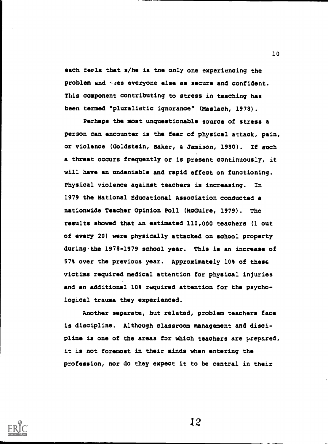each feels that s/he is tne only one experiencing the problem and ases everyone else as secure and confident. This component contributing to stress in teaching has been termed "pluralistic ignorance" (Maslach, 1978).

Perhaps the most unquestionable source of stress a person can encounter is the fear of physical attack, pain, or violence (Goldstein, Baker, & Jamison, 1980). If such a threat occurs frequently or is present continuously, it will have an undeniable and rapid effect on functioning. Physical violence against teachers is increasing. In 1979 the National Educational Association conducted a nationwide Teacher Opinion Poll (McGuire, 1979). The results showed that an estimated 110,000 teachers (1 out of every 20) were physically attacked on school property during the 1978-1979 school year. This is an increase of 57% over the previous year. Approximately 10% of these victims required medical attention for physical injuries and an additional 10% required attention for the psychological trauma they experienced.

Another separate, but related, problem teachers face is discipline. Although classroom management and discipline is one of the areas for which teachers are prepared, it is not foremost in their minds when entering the profession, nor do they expect it to be central in their



12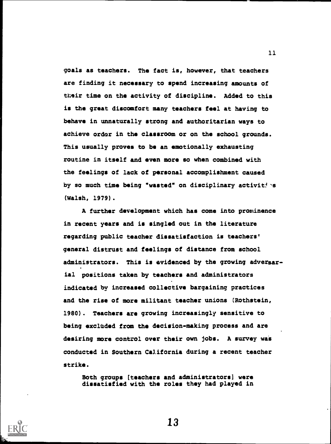goals as teachers. The fact is, however, that teachers are finding it necessary to spend increasing amounts of their time on the activity of discipline. Added to this is the great discomfort many teachers feel at having to behave in unnaturally strong and authoritarian ways to achieve order in the classroom or on the school grounds. This usually proves to be an emotionally exhausting routine in itself and even more so when combined with the feelings of lack of personal accomplishment caused by so much time being "wasted" on disciplinary activities (Walsh, 1979).

A further development which has come into prominence in recent years and is singled out in the literature regarding public teacher dissatisfaction is teachers' general distrust and feelings of distance from school administrators. This is evidenced by the growing adversarial positions taken by teachers and administrators indicated by increased collective bargaining practices and the rise of more militant teacher unions (Rothstein, 1980). Teachers are growing increasingly sensitive to being excluded from the decision-making process and are desiring more control over their own jobs. A survey was conducted in Southern California during a recent teacher strike.

Both groups (teachers and administrators] were dissatisfied with the roles they had played in



13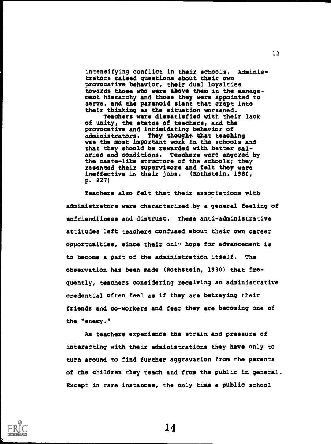intensifying conflict in their schools. Administrators raised questions about their own provocative behavior, their dual loyalties towards those who were above them in the management hierarchy and those they were appointed to serve, and the paranoid slant that crept into their thinking as the situation worsened.

Teachers were dissatisfied with their lack of unity, the status of teachers, and the provocative and intimidating behavior of administrators. They thought that teaching was the most important work in the schools and that they should be rewarded with better salaries and conditions. Teachers were angered by the caste-like structure of the schools; they resented their supervisors and felt they were ineffective in their jobs. (Rothstein, 1980, p. 227)

Teachers also felt that their associations with administrators were characterized. by a general feeling of unfriendliness and distrust. These anti-administrative attitudes left teachers confused about their own career opportunities, since their only hope for advancement is to become a part of the administration itself. The observation has been made (Rothstein, 1980) that frequently, teachers considering receiving an administrative credential often feel as if they are betraying their friends and co-workers and fear they are becoming one of the "enemy."

As teachers experience the strain and pressure of interacting with their administrations they have only to turn around to find further aggravation from the parents of the children they teach and from the public in general. Except in rare instances, the only time a public school



14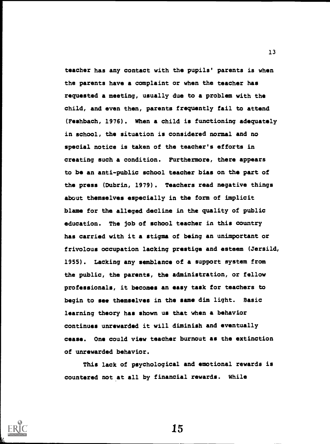teacher has any contact with the pupils' parents is when the parents have a complaint or when the teacher has requested a meeting, usually due to a problem with the child, and even then, parents frequently fail to attend (Feshbach, 1976). When a child is functioning adequately in school, the situation is considered normal and no special notice is taken of the teacher's efforts in creating such a condition. Furthermore, there appears to be an anti-public school teacher bias on the part of the press (Dubrin, 1979). Teachers read negative things about themselves especially in the form of implicit blame for the alleged decline in the quality of public education. The job of school teacher in this country has carried with it a stigma of being an unimportant or frivolous occupation lacking prestige and esteem (Jersild, 1955). Lacking any semblance of a support system from the public, the parents, the administration, or fellow professionals, it becomes an easy task for teachers to begin to see themselves in the same dim light. Basic learning theory has shown us that when a behavior continues unrewarded it will diminish and eventually cease. One could view teacher burnout as the extinction of unrewarded behavior.

This lack of psychological and emotional rewards is countered not at all by financial rewards. While



15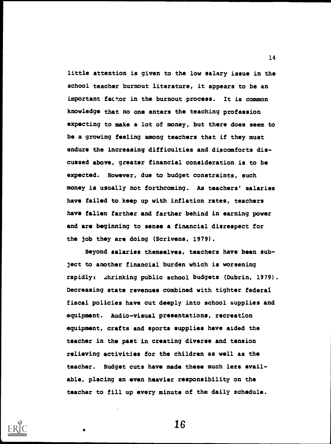little attention is given to the low salary issue in the school teacher burnout literature, it appears to be an important factor in the burnout process. It is common knowledge that no one enters the teaching profession expecting to make a lot of money, but there does seem to be a growing feeling among teachers that if they must endure the increasing difficulties and discomforts discussed above, greater financial consideration is to be expected. However, due to budget constraints, such money is usually not forthcoming. As teachers' salaries have failed to keep up with inflation rates, teachers have fallen farther and farther behind in earning power and are beginning to sense a financial disrespect for the job they are doing (Scrivens, 1979).

Beyond salaries themselves, teachers have been subject to another financial burden which is worsening rapidly: shrinking public school budgets (Dubrin, 1979). Decreasing state revenues combined with tighter federal fiscal policies have cut deeply into school supplies and equipment. Audio-visual presentations, recreation equipment, crafts and sports supplies have aided the teacher in the past in creating diverse and tension relieving activities for the children as well as the teacher. Budget cuts have made these much less available, placing an even heavier responsibility on the teacher to fill up every minute of the daily schedule.



16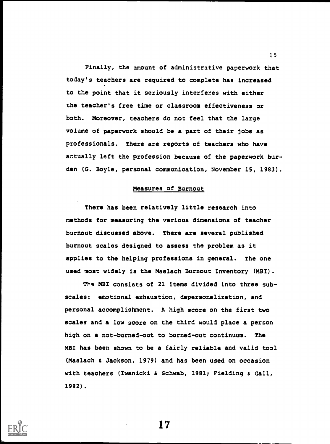Finally, the amount of administrative paperwork that today's teachers are required to complete has increased to the point that it seriously interferes with either the teacher's free time or classroom effectiveness or both. Moreover, teachers do not feel that the large volume of paperwork should be a part of their jobs as professionals. There are reports of teachers who have actually left the profession because of the paperwork burden (G. Boyle, personal communication, November 15, 1983).

## Measures of Burnout

There has been relatively little research into methods for measuring the various dimensions of teacher burnout discussed above. There are several published burnout scales designed to assess the problem as it applies to the helping professions in general. The one used most widely is the Maslach Burnout Inventory (MBI).

The MBI consists of 21 items divided into three subscales: emotional exhaustion, depersonalization, and personal accomplishment. A high score on the first two scales and a low score on the third would place a person high on a not-burned-out to burned-out continuum. The MBI has been shown to be a fairly reliable and valid tool (Maslach & Jackson, 1979) and has been used on occasion with teachers (Iwanicki & Schwab, 1981; Fielding & Gall, 1982) .



17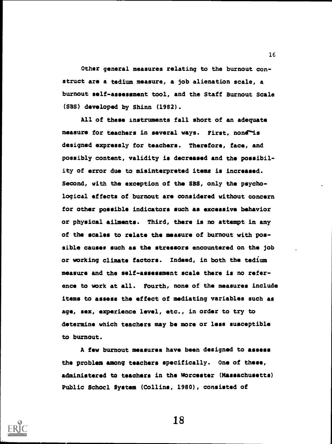Other general measures relating to the burnout construct are a tedium measure, a job alienation scale, a burnout self-assessment tool, and the Staff Burnout Scale (SBS) developed by Shinn (1982).

All of these instruments fall short of an adequate measure for teachers in several ways. First, none is designed expressly for teachers. Therefore, face, and possibly content, validity is decreased and the possibility of error due to misinterpreted items is increased. Second, with the exception of the SBS, only the psychological effects of burnout are considered without concern for other possible indicators such as excessive behavior or physical ailments. Third, there is no attempt in any of the scales to relate the measure of burnout with possible causes such as the stressors encountered on the job or working climate factors. Indeed, in both the tedium measure and the self-assessment scale there is no reference to work at all. Fourth, none of the measures include items to assess the effect of mediating variables such as age, sex, experience level, etc., in order to try to determine which teachers may be more or less susceptible to burnout.

A few burnout measures have been designed to assess the problem among teachers specifically. One of these, administered to teachers in the Worcester (Massachusetts) Public Schoel System (Collins, 1980), consisted of



18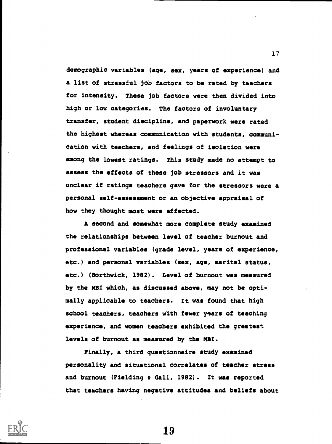demographic variables (age, sex, years of experience) and a list of stressful job factors to be rated by teachers for intensity. These job factors were then divided into high or low categories. The factors of involuntary transfer, student discipline, and paperwork were rated the highest whereas communication with students, communication with teachers, and feelings of isolation were among the lowest ratings. This study made no attempt to assess the effects of these job stressors and it was unclear if ratings teachers gave for the stressors were a personal self-assessment or an objective appraisal of how they thought most were affected.

A second and somewhat more complete study examined the relationships between level of teacher burnout and professional variables (grade level, years of experience, etc.) and personal variables (sex, age, marital status, etc.) (Borthwick, 1982). Level of burnout was measured by the MBI which, as discussed above, may not be optimally applicable to teachers. It was found that high school teachers, teachers with fewer years of teaching experience, and women teachers exhibited the greatest levels of burnout as measured by the MBI.

Finally, a third questionnaire study examined personality and situational correlates of teacher stress and burnout (Fielding & Gall, 1982). It was reported that teachers having negative attitudes and beliefs about



19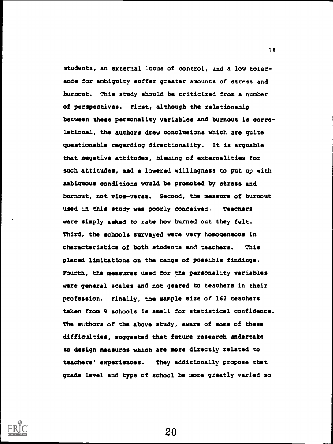students, an external locus of control, and a low tolerance for ambiguity suffer greater amounts of stress and burnout. This study should be criticized from a number of perspectives. First, although the relationship between these personality variables and burnout is correlational, the authors drew conclusions which are quite questionable regarding directionality. It is arguable that negative attitudes, blaming of externalities for such attitudes, and a lowered willingness to put up with ambiguous conditions would be promoted by stress and burnout, not vice-versa. Second, the measure of burnout used in this study was poorly conceived. Teachers were simply asked to rate how burned out they felt. Third, the schools surveyed were very homogeneous in characteristics of both students and teachers. This placed limitations on the range of possible findings. Fourth, the measures used for the personality variables were general scales and not geared to teachers in their profession. Finally, the sample size of 162 teachers taken from 9 schools is small for statistical confidence. The authors of the above study, aware of some of these difficalties, suggested that future research undertake to design measures which are more directly related to teachers' experiences. They additionally propose that grade level and type of school be more greatly varied so



20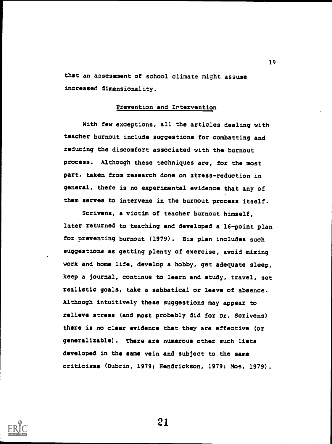that an assessment of school climate might assume increased dimensionality.

#### Prevention and Intervention

With few exceptions, all the articles dealing with teacher burnout include suggestions for combatting and reducing the discomfort associated with the burnout process. Although these techniques are, for the most part, taken from research done on stress-reduction in general, thete is no experimental evidence that any of them serves to intervene in the burnout process itself.

Scrivens, a victim of teacher burnout himself, later returned to teaching and developed a 16-point plan for preventing burnout (1979). His plan includes such suggestions as getting plenty of exercise, avoid mixing work and home life, develop a hobby, get adequate sleep, keep a journal, continue to learn and study, travel, set realistic goals, take a sabbatical or leave of absence. Although intuitively these suggestions may appear to relieve stress (and most probably did for Dr. Scrivens) there is no clear evidence that they are effective (or generalizable). There are numerous other such lists developed in the same vein and subject to the same criticisms (Dubrin, 1979; Hendrickson, 1979; Moe, 1979).

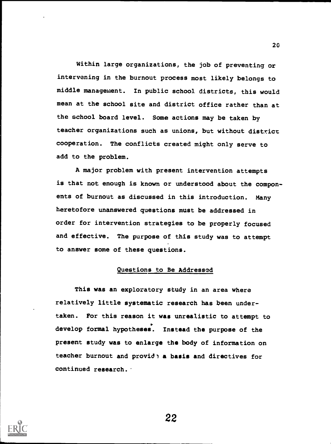Within large organizations, the job of preventing or intervening in the burnout process most likely belongs to middle management. In public school districts, this would mean at the school site and district office rather than at the school board level. Some actions may be taken by teacher organizations such as unions, but without district cooperation. The conflicts created might only serve to add to the problem.

A major problem with present intervention attempts is that not enough is known or understood about the components of burnout as discussed in this introduction. Many heretofore unanswered questions must be addressed in order for intervention strategies to be properly focused and effective. The purpose of this study was to attempt to answer some of these questions.

# Questions to Be Addressed

This was an exploratory study in an area where relatively little systematic research has been undertaken. For this reason it was unrealistic to attempt to develop formal hypotheses. Instead the purpose of the present study was to enlarge the body of information on teacher burnout and provid' a basis and directives for continued research.



22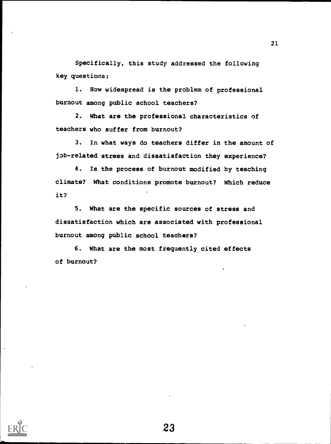Specifically, this study addressed the following key questions:

1. How widespread is the problem of professional burnout among public school teachers?

2. What are the professional characteristics of teachers who suffer from burnout?

3. In what ways do teachers differ in the amount of job-related stress and dissatisfaction they experience?

4. Is the process of burnout modified by teaching climate? What conditions promote burnout? Which reduce it?

5. What are the specific sources of stress and dissatisfaction which are associated with professional burnout among public school teachers?

6. What are the most frequently cited effects of burnout?

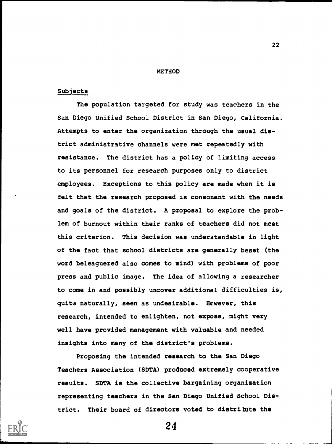#### METHOD

#### Subjects

The population targeted for study was teachers in the San Diego Unified School District in San Diego, California. Attempts to enter the organization through the usual district administrative channels were met repeatedly with resistance. The district has a policy of limiting access to its personnel for research purposes only to district employees. Exceptions to this policy are made when it is felt that the research proposed is consonant with the needs and goals of the district. A proposal to explore the problem of burnout within their ranks of teachers did not meet this criterion. This decision was understandable in light of the fact that school districts are generally beset (the word beleaguered also comes to mind) with problems of poor press and public image. The idea of allowing a researcher to come in and possibly uncover additional difficulties is, quite naturally, seen as undesirable. However, this research, intended to enlighten, not expose, might very well have provided management with valuable and needed insights into many of the district's problems.

Proposing the intended research to the San Diego Teachers Association (SDTA) produced extremely cooperative results. SDTA is the collective bargaining organization representing teachers in the San Diego Unified School District. Their board of directors voted to distribute the



24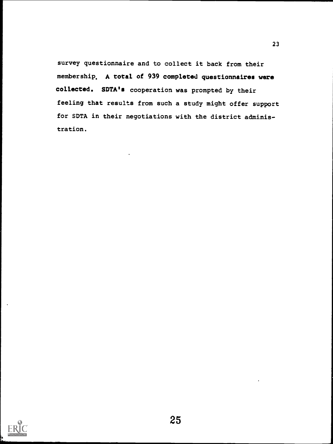survey questionnaire and to collect it back from their membership. A total of 939 completed questionnaires were collected. SDTA's cooperation was prompted by their feeling that results from such a study might offer support for SDTA in their negotiations with the district administration.

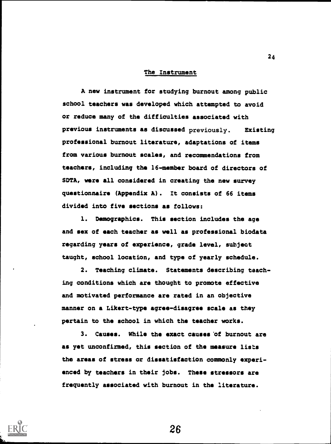#### The Instrument

A new instrument for studying burnout among public school teachers was developed which attempted to avoid or reduce many of the difficulties associated with previous instruments as discussed previously. Existing professional burnout literature, adaptations of items from various burnout scales, and recommendations from teachers, including the 16-member board of directors of SDTA, were all considered in creating the new survey questionnaire (Appendix A). It consists of 66 items divided into five sections as follows:

1. Demographics. This section includes the age and sex of each teacher as well as professional biodata regarding years of experience, grade level, subject taught, school location, and type of yearly schedule.

2. Teaching climate. Statements describing teaching conditions which are thought to promote effective and motivated performance are rated in an objective manner on a Likert-type agree-disagree scale as they pertain to the school in which the teacher works.

3. Causes. While the exact causes 'of burnout are as yet unconfirmed, this section of the measure lists the areas of stress or dissatisfaction commonly experienced by teachers in their jobs. These stressors are frequently associated with burnout in the literature.

26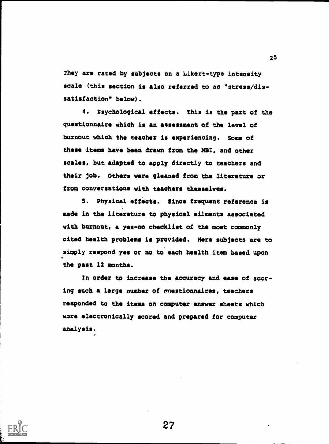They are rated by subjects on a Likert-type intensity scale (this section is also referred to as "stress/dissatisfaction" below).

4. Psychological effects. This is the part of the questionnaire which is an assessment of the level of burnout which the teacher is experiencing. Some of these items have been drawn from the MBI, and other scales, but adapted to apply directly to teachers and their job. Others were gleaned from the literature or from conversations with teachers themselves.

S. Physical effects. Since frequent reference is made in the literature to physical ailments associated with burnout, a yes-no checklist of the most commonly cited health problems is provided. Here subjects are to simply respond yes or no to each health item based upon the past 12 months.

In order to increase the accuracy and ease of scoring such a large number of muestionnaires, teachers responded to the items on computer answer sheets which ware electronically scored and prepared for computer analysis.

27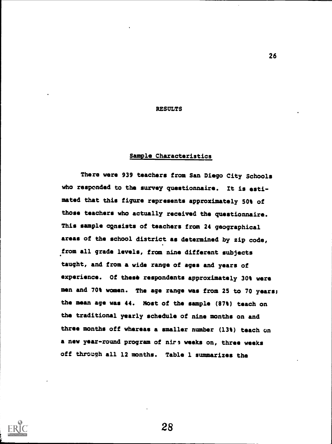#### **RESULTS**

### Sample Characteristics

There were 939 teachers from San Diego City Schools who responded to the survey questionnaire. It is estimated that this figure represents approximately 50% of those teachers who actually received the questionnaire. This sample consists of teachers from 24 geographical areas of the school district as determined by zip code, from all grade levels, from nine different subjects taught, and from a wide range of ages and years of experience. Of these respondents approximately 30% were men and 70% women. The age range was from 25 to 70 years; the mean age was 44. Most of the sample (87%) teach on the traditional yearly schedule of nine months on and three months off whereas a smaller number (13%) teach on a new year-round program of nirs weeks on, three weeks off through all 12 months. Table 1 summarizes the

28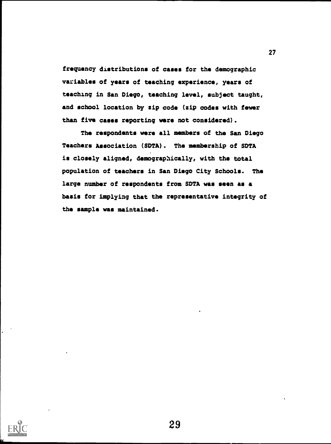frequency distributions of cases for the demographic variables of years of teaching experience, years of teaching in San Diego, teaching level, subject taught, and school location by zip code (zip codes with fewer than five cases reporting were not considered).

The respondents were all members of the San Diego Teachers Association (SDTA). The membership of SDTA is closely aligned, demographically, with the total population of teachers in San Diego City Schools. The large number of respondents from SDTA was seen as a basis for implying that the representative integrity of the sample was maintained.

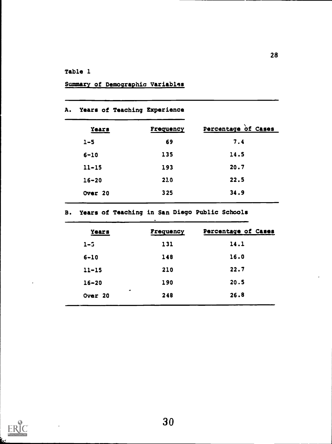# Table 1

|  | Summary of Demographic Variables |
|--|----------------------------------|

|  |  |  |  | <b>A. Years of Teaching Experience</b> |  |
|--|--|--|--|----------------------------------------|--|
|--|--|--|--|----------------------------------------|--|

| Years     | Frequency | Percentage of Cases |
|-----------|-----------|---------------------|
| $1 - 5$   | 69        | 7.4                 |
| $6 - 10$  | 135       | 14.5                |
| $11 - 15$ | 193       | 20.7                |
| $16 - 20$ | 210       | 22.5                |
| Over 20   | 325       | 34.9                |

B. Years of Teaching in San Diego Public Schools  $\Delta$ 

| <b>Years</b>         | Frequency | Percentage of Cases |
|----------------------|-----------|---------------------|
| $1 - 5$              | 131       | 14.1                |
| $6 - 10$             | 148       | 16.0                |
| $11 - 15$            | 210       | 22.7                |
| $16 - 20$            | 190       | 20.5                |
| $\bullet$<br>Over 20 | 248       | 26.8                |
|                      |           |                     |

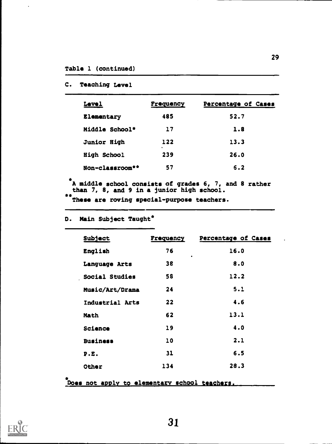# C. Teaching Level

| <b>Level</b>    | Frequency | Percentage of Cases |
|-----------------|-----------|---------------------|
| Elementary      | 485       | 52.7                |
| Middle School*  | 17        | 1.8                 |
| Junior High     | 122<br>۰. | 13.3                |
| High School     | 239       | 26.0                |
| Non-classroom** | 57        | 6.2                 |
|                 |           |                     |

A middle school consists of grades 6, 7, and 8 rather than 7, 8, and 9 in a junior high school.

\*\* These are roving special-purpose teachers.

# D. Main Subject Taught\*

| Subject         | Frequency | Percentage of Cases |
|-----------------|-----------|---------------------|
| English         | 76        | 16.0                |
| Language Arts   | 38        | 8.0                 |
| Social Studies  | 58        | 12.2                |
| Music/Art/Drama | 24        | 5.1                 |
| Industrial Arts | 22        | 4.6                 |
| Math            | 62        | 13.1                |
| Science         | 19        | 4.0                 |
| <b>Business</b> | 10        | 2.1                 |
| P.E.            | 31        | 6.5                 |
| Other           | 134       | 28.3                |

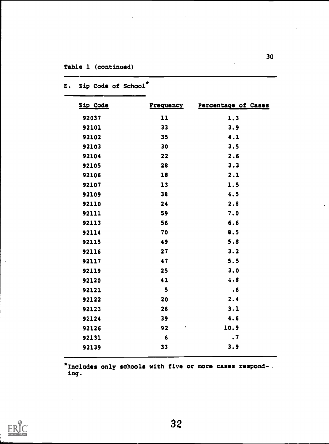| Zip Code | <b>Frequency</b> | Percentage of Cases |
|----------|------------------|---------------------|
| 92037    | 11               | 1.3                 |
| 92101    | 33               | 3.9                 |
| 92102    | 35               | 4.1                 |
| 92103    | 30               | 3.5                 |
| 92104    | 22               | 2.6                 |
| 92105    | 28               | 3.3                 |
| 92106    | 18               | 2.1                 |
| 92107    | 13               | 1.5                 |
| 92109    | 38               | 4.5                 |
| 92110    | 24               | 2.8                 |
| 92111    | 59               | 7.0                 |
| 92113    | 56               | 6.6                 |
| 92114    | 70               | 8.5                 |
| 92115    | 49               | 5.8                 |
| 92116    | 27               | 3.2                 |
| 92117    | 47               | 5.5                 |
| 92119    | 25               | 3.0                 |
| 92120    | 41               | 4.8                 |
| 92121    | 5                | .6                  |
| 92122    | 20               | 2.4                 |
| 92123    | 26               | 3.1                 |
| 92124    | 39               | 4.6                 |
| 92126    | 92<br>٠          | 10.9                |
| 92131    | 6                | $\cdot$ 7           |
| 92139    | 33               | 3.9                 |

# E. Zip Code of School\*

\*Includes only schools with five or more cases responding.

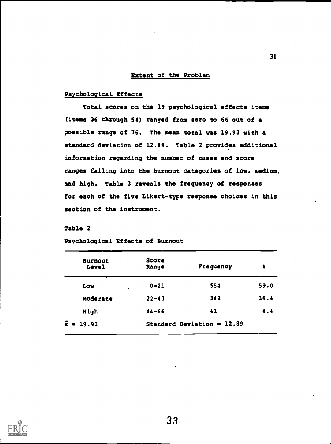### Extent of the Problem

# Psychological Effects

Total scores on the 19 psychological effects items (items 36 through 54) ranged from zero to 66 out of a possible range of 76. The mean total was 19.93 with a standard deviation of 12.89. Table 2 provides additional information regarding the number of cases and score ranges falling into the burnout categories of low, medium, and high. Table 3 reveals the frequency of responses for each of the five Likert-type response choices in this section of the instrument.

# Table 2

| <b>Burnout</b><br>Level | Score<br>Range | Frequency                    | ŧ    |
|-------------------------|----------------|------------------------------|------|
| Low                     | $0 - 21$       | 554                          | 59.0 |
| Moderate                | $22 - 43$      | 342                          | 36.4 |
| High                    | $44 - 66$      | 41                           | 4.4  |
| $\bar{x} = 19.93$       |                | Standard Deviation = $12.89$ |      |

Psychological Effects of Burnout

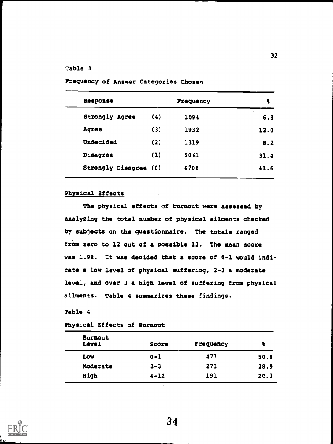# Table 3

| Response              | Frequency |      | 1              |  |
|-----------------------|-----------|------|----------------|--|
| Strongly Agree        | (4)       | 1094 | $\cdot$<br>6.8 |  |
| Agree                 | (3)       | 1932 | 12.0           |  |
| Undecided             | (2)       | 1319 | 8.2            |  |
| Disagree              | (1)       | 5061 | 31.4           |  |
| Strongly Disagree (0) |           | 6700 | 41.6           |  |

Frequency of Answer Categories Chosen

# Physical Effects

The physical effects of burnout were assessed by analyzing the total number of physical ailments checked by subjects on the questionnaire. The totals ranged from zero to 12 out of a possible 12. The mean score was 1.98. It was decided that a score of 0-1 would indicate a low level of physical suffering, 2-3 a moderate level, and over 3 a high level of suffering from physical ailments. Table 4 summarizes these findings.

# Table 4

# Physical Effects of Burnout

| <b>Burnout</b><br>Level | Score    | Frequency |      |
|-------------------------|----------|-----------|------|
| Low                     | $0 - 1$  | 477       | 50.8 |
| Moderate                | $2 - 3$  | 271       | 28.9 |
| High                    | $4 - 12$ | 191       | 20.3 |

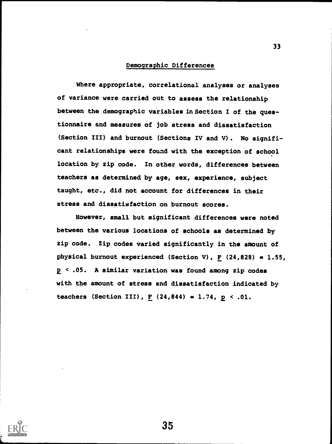#### Demographic Differences

Where appropriate, correlational analyses or analyses of variance were carried out to assess the relationship between the demographic variables in Section I of the questionnaire and measures of job stress and dissatisfaction (Section III) and burnout (Sections IV and V). No significant relationships were found with the exception of school location by zip code. In other words, differences between teachers as determined by age, sex, experience, subject taught, etc., did not account for differences in their stress and dissatisfaction on burnout scores.

However, small but significant differences were noted between the various locations of schools as determined by zip code. Zip codes varied significantly in the amount of physical burnout experienced (Section V),  $F$  (24,828) = 1.55,  $p \leq .05$ . A similar variation was found among zip codes with the amount of stress and dissatisfaction indicated by teachers (Section III),  $F(24,844) = 1.74$ ,  $p < .01$ .

35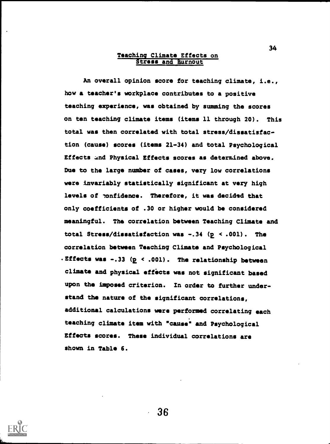#### Teaching Climate Effects on Stress and Burnout

An overall opinion score for teaching climate, i.e., how a teacher's workplace contributes to a positive teaching experience, was obtained by summing the scores on ten teaching climate items (items 11 through 20). This total was then correlated with total stress/dissatisfaction (cause) scores (items 21-34) and total Psychological Effects and Physical Effects scores as determined above. Due to the large number of cases, very low correlations were invariably statistically significant at very high levels of ponfidence. Therefore, it was decided that only coefficients of .30 or higher would be considered meaningful. The correlation between Teaching Climate and total Stress/dissatisfaction was  $-.34$  (p < .001). The correlation between Teaching Climate and Psychological . Effects was  $-.33$  ( $p \le .001$ ). The relationship between climate and physical efficts was not significant based upon the imposed criterion. In order to further understand the nature of the significant correlations, additional calculations were performed correlating each teaching climate item with "cause" and Psychological Effects scores. These individual correlations are shown in Table 6.

36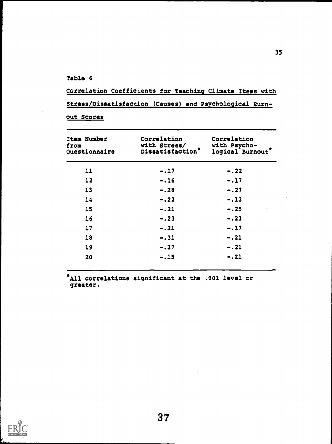Table 6

Correlation Coefficients for Teaching Climate Items with Stress/Dissatisfaction (Causes) and Psychological Burn-

out Scores

| Item Number<br>from<br>Questionnaire | Correlation<br>with Stress/<br>Dissatisfaction <sup>*</sup> | Correlation<br>with Psycho-<br>logical Burnout' |
|--------------------------------------|-------------------------------------------------------------|-------------------------------------------------|
| 11                                   | $-.17$                                                      | $-.22$                                          |
| 12                                   | $-.16$                                                      | $-.17$                                          |
| 13                                   | $-.28$                                                      | $-.27$                                          |
| 14                                   | $-.22$                                                      | $-.13$                                          |
| 15                                   | $-.21$                                                      | $-.25$                                          |
| 16                                   | $-.23$                                                      | $-.23$                                          |
| 17                                   | $-.21$                                                      | $-.17$                                          |
| 18                                   | $-.31$                                                      | $-.21$                                          |
| 19                                   | $-.27$                                                      | $-.21$                                          |
| 20                                   | $-.15$                                                      | $-.21$                                          |

All correlations significant at the .001 level or greater.

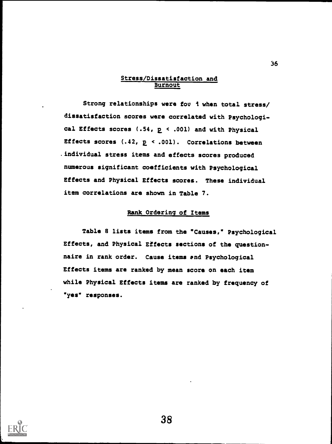# Stress/Dissatisfaction and Burnout

Strong relationships were fou i when total stress/ dissatisfaction scores were correlated with Psychological Effects scores  $(.54, p \cdot .001)$  and with Physical Effects scores  $(.42, p \le .001)$ . Correlations between .individual stress items and effects scores produced numerous significant coefficients with Psychological Effects and Physical Effects scores. These individual item correlations are shown in Table 7.

# Rank Ordering of Items

Table B lists items from the "Causes," Psychological Effects, and Physical Effects sections of the questionnaire in rank order. Cause items end Psychological Effects items are ranked by mean score on each item while Physical Effects items are ranked by frequency of "yes" responses.



38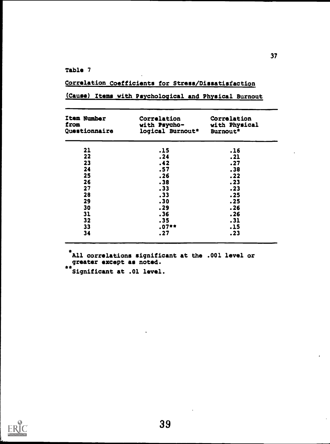Table 7

# Correlation Coefficients for Stress/Dissatisfaction

| (Cause) Items with Psychological and Physical Burnout |  |
|-------------------------------------------------------|--|
|-------------------------------------------------------|--|

| Item Number<br>from<br>Questionnaire | Correlation<br>with Psycho-<br>logical Burnout* | Correlation<br>with Physical<br>Burnout* |
|--------------------------------------|-------------------------------------------------|------------------------------------------|
| 21                                   | .15                                             | .16                                      |
| 22                                   | .24                                             | .21                                      |
| 23                                   | .42                                             | .27                                      |
| 24                                   | .57                                             | .38                                      |
| 25                                   | .26                                             | .22                                      |
| 26                                   | .38                                             | .23                                      |
| 27                                   | .33                                             | .23                                      |
| 28                                   | .33                                             | .25                                      |
| 29                                   | .30                                             | .25                                      |
| 30                                   | .29                                             | .26                                      |
| 31                                   | .36                                             | .26                                      |
|                                      |                                                 |                                          |
| 32                                   | .35                                             | .31                                      |
| 33                                   | $.07**$                                         | .15                                      |
| 34                                   | .27                                             | .23                                      |

\*All correlations significant at the .001 level or greater except as noted.

\*\*Significant at .01 level.

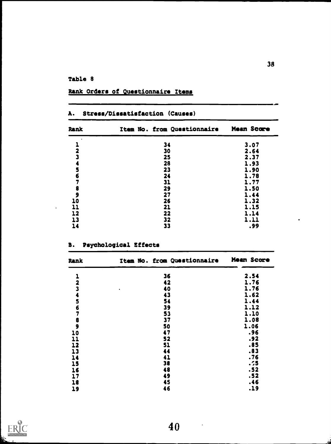# Table 8

| A.                                          | Stress/Dissatisfaction (Causes) |            |
|---------------------------------------------|---------------------------------|------------|
| Rank                                        | Item No. from Questionnaire     | Mean Score |
|                                             | 34                              | 3.07       |
| 2                                           | 30                              | 2.64       |
| $\bar{\mathbf{3}}$                          | 25                              | 2.37       |
| 4                                           | 28                              | 1.93       |
|                                             | 23                              | 1.90       |
| <b>567</b>                                  | 24                              | 1.78       |
|                                             | 31                              | 1.77       |
| $\begin{array}{c} 8 \\ 9 \\ 10 \end{array}$ | 29                              | 1.50       |
|                                             | 27                              | 1.44       |
|                                             | 26                              | 1.32       |
| $\mathbf{11}$                               | 21                              | 1.15       |
| 12                                          | 22                              | 1.14       |
| 13                                          | 32                              | 1.11       |
| 14                                          | 33                              | .99        |

# Rank Orders of Questionnaire Items

# B. Psychological Effects

| Rank                    | Item No. from Questionnaire | Mean Score |
|-------------------------|-----------------------------|------------|
|                         | 36                          | 2.54       |
| $\overline{\mathbf{2}}$ | 42                          | 1.76       |
|                         | 40<br>٠                     | 1.76       |
|                         | 43                          | 1.62       |
|                         | 54                          | 1.44       |
|                         | 39                          | 1.12       |
| 34567                   | 53                          | 1.10       |
|                         | 37                          | 1.08       |
| $\frac{8}{9}$           | 50                          | 1.06       |
| 10                      | 47                          | .96        |
| 11                      | 52                          | .92        |
| 12                      | 51                          | .85        |
| 13                      | 44                          | .83        |
| 14                      | 41                          | .76        |
| 15                      | 38                          | .55        |
| 16                      | 48                          | .52        |
| 17                      | 49                          | .52        |
| 18                      | 45                          | .46        |
| 19                      | 46                          | .19        |



 $\ddot{\phantom{a}}$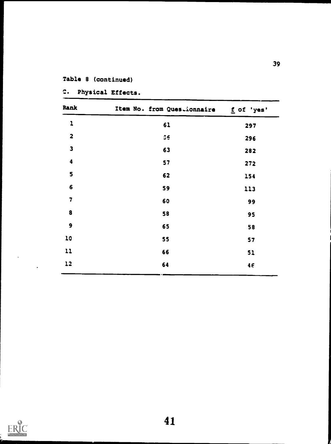# Table 8 (continued)

| Rank                    | Item No. from Questionnaire fof 'yes' |     |
|-------------------------|---------------------------------------|-----|
| $\mathbf{1}$            | 61                                    | 297 |
| $\overline{\mathbf{2}}$ | 56                                    | 296 |
| $\overline{\mathbf{3}}$ | 63                                    | 282 |
| $\ddot{\textbf{4}}$     | 57                                    | 272 |
| 5                       | 62                                    | 154 |
| $\boldsymbol{6}$        | 59                                    | 113 |
| 7                       | 60                                    | 99  |
| 8                       | 58                                    | 95  |
| $\mathbf{9}$            | 65                                    | 58  |
| 10                      | 55                                    | 57  |
| 11                      | 66                                    | 51  |
| 12                      | 64                                    | 46  |

C. Physical Effects.



 $\frac{1}{2} \sum_{i=1}^{n} \frac{1}{2} \sum_{j=1}^{n} \frac{1}{2} \sum_{j=1}^{n} \frac{1}{2} \sum_{j=1}^{n} \frac{1}{2} \sum_{j=1}^{n} \frac{1}{2} \sum_{j=1}^{n} \frac{1}{2} \sum_{j=1}^{n} \frac{1}{2} \sum_{j=1}^{n} \frac{1}{2} \sum_{j=1}^{n} \frac{1}{2} \sum_{j=1}^{n} \frac{1}{2} \sum_{j=1}^{n} \frac{1}{2} \sum_{j=1}^{n} \frac{1}{2} \sum_{j=1}^{n$ 

 $\hat{\mathcal{A}}$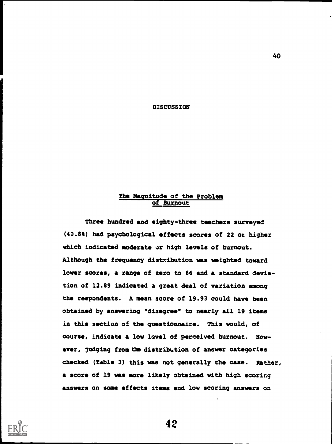DISCUSSION

# The Magnitude of the Problem of Burnout

Three hundred and eighty-three teachers surveyed (40.8%) had psychological effects scores of 22 oz higher which indicated moderate or high levels of burnout. Although the frequency distribution was weighted toward lower scores, a range of zero to 66 and a standard deviation of 12.89 indicated a great deal of variation among the respondents. A mean score of 19.93 could have been obtained by answering "disagree\* to nearly all 19 items in this section of the questionnaire. This would, of course, indicate a low lovel of perceived burnout. However, judging from the distribution of answer categories checked (Table 3) this was not generally the case. Rather, a score of 19 was more likely obtained with high scoring answers on some effects items and low scoring answers on



42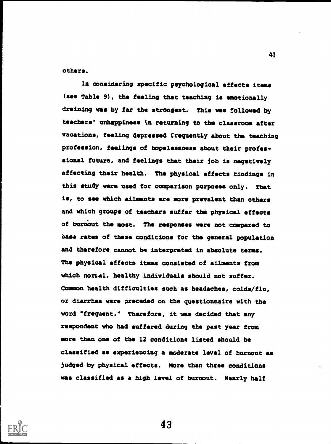others.

In considering specific psychological effects items (see Table 9), the feeling that teaching is emotionally draining was by far the strongest. This was followed by teachers' unhappiness in returning to the classroom after vacations, feeling depressed frequently about the teaching profession, feelings of hopelessness about their professional future, and feelings that their job is negatively affecting their health. The physical effects findings in this study were used for comparison purposes only. That is, to see which ailments are more prevalent than others and which groups of teachers suffer the physical effects of burnout the most. The responses were not compared to base rates of these conditions for the general population and therefore cannot be interpreted in absolute terms. The physical effects items consisted of ailments from which nomal, healthy individuals should not suffer. Common health difficulties such as headaches, colds/flu, or diarrhea were preceded on the questionnaire with the word "frequent." Therefore, it was decided that any respondent who had suffered during the past year from more than one of the 12 conditions listed should be classified as experiencing a moderate level of burnout as judged by physical effects. More than three conditions was classified as a high level of burnout. Nearly half



43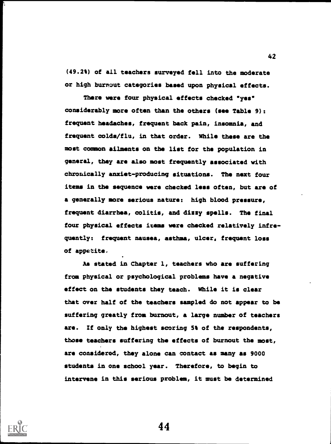(49.2%) of all teachers surveyed fell into the moderate or high burnout categories based upon physical effects.

There were four physical effects checked "yes" considerably more often than the others (see Table 9): frequent headaches, frequent back pain, insomnia, and frequent colds/flu, in that order. While these are the most common ailments on the list for the population in general, they are also most frequently associated with chronically anxiet-producing situations. The next four items in the sequence were checked less often, but are of a generally more serious nature: high blood pressure, frequent diarrhea, colitis, and dizzy spells. The final four physical effects items were checked relatively infrequently: frequent nausea, asthma, ulcer, frequent loss of appetite.

As stated in Chapter 1, teachers who are suffering from physical or psychological problems have a negative effect on the students they teach. While it is clear that over half of the teachers sampled do not appear to be suffering greatly from burnout, a large number of teachers are. If only the highest scoring 5% of the respondents, those teachers suffering the effects of burnout the most, are considered, they alone can contact as many as 9000 students in one school year. Therefore, to begin to intervene in this serious problem, it must be determined



44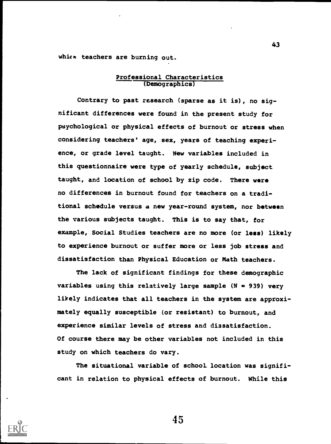which teachers are burning out.

# Professional Characteristics (Demographics)

Contrary to past research (sparse as it is), no significant differences were found in the present study for psychological or physical effects of burnout or stress when considering teachers' age, sex, years of teaching experience, or grade level taught. New variables included in this questionnaire were type of yearly schedule, subject taught, and location of school by zip code. There were no differences in burnout found for teachers on a traditional schedule versus a new year-round system, nor between the various subjects taught. This is to say that, for example, Social Studies teachers are no more (or less) likely to experience burnout or suffer more or less job stress and dissatisfaction than Physical Education or Math teachers.

The lack of significant findings for these demographic variables using this relatively large sample  $(N = 939)$  very likely indicates that all teachers in the system are approximately equally susceptible (or resistant) to burnout, and experience similar levels of stress and dissatisfaction. Of course there may be other variables not included in this study on which teachers do vary.

The situational variable of school location was significant in relation to physical effects of burnout. While this

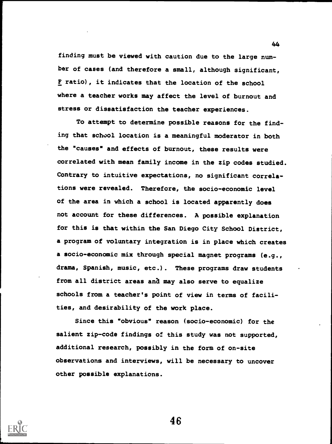finding must be viewed with caution due to the large number of cases (and therefore a small, although significant, F ratio), it indicates that the location of the school where a teacher works may affect the level of burnout and stress or dissatisfaction the teacher experiences.

To attempt to determine possible reasons for the finding that school location is a meaningful moderator in both the "causes" and effects of burnout, these results were correlated with mean family income in the zip codes studied. Contrary to intuitive expectations, no significant correlations were revealed. Therefore, the socio-economic level of the area in which a school is located apparently does not account for these differences. A possible explanation for this is that within the San Diego City School District, a program of voluntary integration is in place which creates a socio-economic mix through special magnet programs (e.g., drama, Spanish, music, etc.). These programs draw students from all district areas and may also serve to equalize schools from a teacher's point of view in terms of facilities, and desirability of the work place.

Since this "obvious" reason (socio-economic) for the salient zip-code findings of this study was not supported, additional research, possibly in the form of on-site observations and interviews, will be necessary to uncover other possible explanations.



46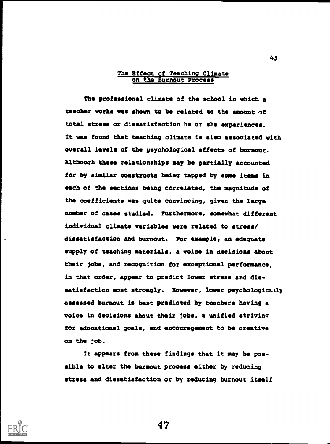#### The Effect of Teaching Climate on the Burnout Process

The professional climate of the school in which a teacher works was shown to be related to the amount of total stress or dissatisfaction he or she experiences. It was found that teaching climate is also associated with overall levels of the psychological effects of burnout. Although these relationships may be partially accounted for by similar constructs being tapped by some items in each of the sections being correlated, the magnitude of the coefficients was quite convincing, given the large number of cases studied. Furthermore, somewhat different individual climate variables were related to stress/ dissatisfaction and burnout. For example, an adequate supply of teaching materials, a voice in decisions about their jobs, and recognition for exceptional performance, in that order, appear to predict lower stress and dissatisfaction most strongly. However, lower psychologically assessed burnout is best predicted by teachers having a voice in decisions about their jobs, a unified striving for educational goals, and encouragement to be creative on the job.

It appears from these findings that it may be possible to alter the burnout process either by reducing stress and dissatisfaction or by reducing burnout itself

47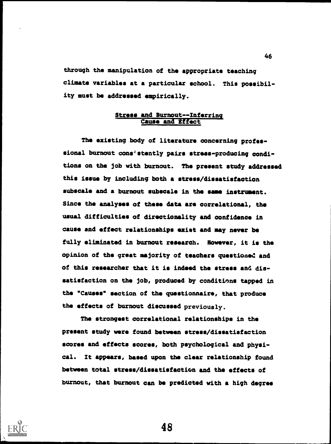through the manipulation of the appropriate teaching climate variables at a particular school. This possibility must be addressed empirically.

## Stress and Burnout--Inferring **Cause and Effect**

The existing body of literature concerning professional burnout cons'stently pairs stress-producing conditions on the job with burnout. The present study addressed this issue by including both a stress/dissatisfaction subscale and a burnout subscale in the same instrument. Since the analyses of these data are correlational, the usual difficulties of directionality and confidence in cause and effect relationships exist and may never be fully eliminated in burnout research. However, it is the opinion of the great majority of teachers questioned and of this researcher that it is indeed the stress and dissatisfaction on the job, produced by conditions tapped in the "Causes" section of the questionnaire, that produce the effects of burnout discussed previously.

The strongest correlational relationships in the present study were found between stress/dissatisfaction scores and effects scores, both psychological and physical. It appears, based upon the clear relationship found between total stress/dissatisfaction and the effects of burnout, that burnout can be predicted with a high degree

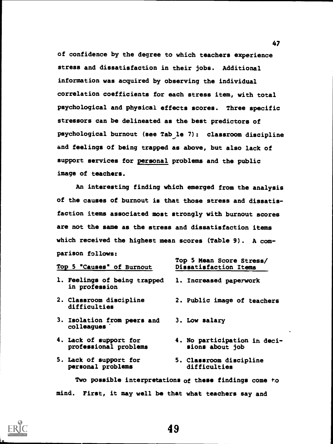of confidence by the degree to which teachers experience stress and dissatisfaction in their jobs. Additional information was acquired by observing the individual correlation coefficients for each stress item, with total psychological and physical effects scores. Three specific stressors can be delineated as the best predictors of psychological burnout (see Tab le 7): classroom discipline and feelings of being trapped as above, but also lack of support services for personal problems and the public image of teachers.

An interesting finding which emerged from the analysis of the causes of burnout is that those stress and dissatisfaction items associated most strongly with burnout scores are not the same as the stress and dissatisfaction items which received the highest mean scores (Table 9). A comparison follows:

Top 5 Mean Score Stress/

| Top 5 "Causes" of Burnout                       | TOP 3 Wean SCOTE SETERBY<br>Dissatisfaction Items      |
|-------------------------------------------------|--------------------------------------------------------|
| 1. Feelings of being trapped<br>in profession   | 1. Increased paperwork                                 |
| 2. Classroom discipline<br>difficulties         | 2. Public image of teachers                            |
| 3. Isolation from peers and<br>colleagues       | 3. Low salary                                          |
| 4. Lack of support for<br>professional problems | 4. No participation in deci-<br>sions about job        |
| 5. Lack of support for<br>personal problems     | 5. Classroom discipline<br>difficulties                |
|                                                 | Two possible interpretations of these findings come to |

mind. First, it may well be that what teachers say and



49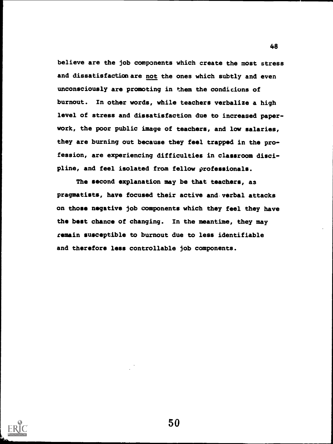believe are the job components which create the most stress and dissatisfaction are not the ones which subtly and even unconsciously are promoting in them the condicions of burnout. In other words, while teachers verbalize a high level of stress and dissatisfaction due to increased paperwork, the poor public image of teachers, and low salaries, they are burning out because they feel trapped in the profession, are experiencing difficulties in classroom discipline, and feel isolated from fellow professionals.

The second explanation may be that teachers, as pragmatists, have focused their active and verbal attacks on those negative job components which they feel they have the best chance of changing. In the meantime, they may remain susceptible to burnout due to less identifiable and therefore less controllable job components.

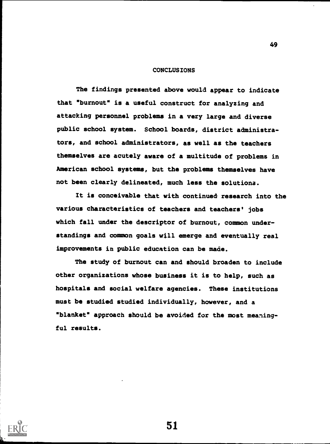#### CONCLUSIONS

49

The findings presented above would appear to indicate that "burnout" is a useful construct for analyzing and attacking personnel problems in a very large and diverse public school system. School boards, district administrators, and school administrators, as well as the teachers themselves are acutely aware of a multitude of problems in American school systems, but the problems themselves have not been clearly delineated, much less the solutions.

It is conceivable that with continued research into the various characteristics of teachers and teachers' jobs which fall under the descriptor of burnout, common understandings and common goals will emerge and eventually real improvements in public education can be made.

The study of burnout can and should broaden to include other organizations whose business it is to help, such as hospitals and social welfare agencies. These institutions must be studied studied individually, however, and a "blanket" approach should be avoided for the most meaningful results.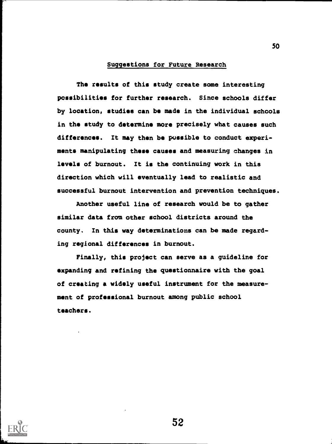## Suggestions for Future Research

The results of this study create some interesting possibilities for further research. Since schools differ by location, studies can be made in the individual schools in the study to determine more precisely what causes such differences. It may then be possible to conduct experiments manipulating these causes and measuring changes in levels of burnout. It is the continuing work in this direction which will eventually lead to realistic and successful burnout intervention and prevention techniques.

Another useful line of research would be to gather similar data from other school districts around the county. In this way determinations can be made regarding regional differences in burnout.

Finally, this project can serve as a guideline for expanding and refining the questionnaire with the goal of creating a widely useful instrument for the measurement of professional burnout among public school teachers.



52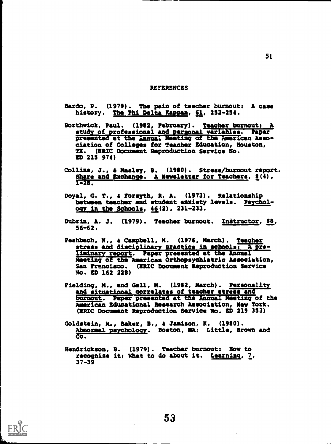#### REFERENCES

- Bardo, P. (1979). The pain of teacher burnout: A case history. The Phi Delta Happen, 61, 252-254.
- Borthwick, Paul. (1982, February). Teacher burnout: study of professional and personal variables. Paper presented at the Annual Meeting of the American Association of Colleges for Teacher Education, Houston, TX. (ERIC Document Reproduction Service No. ED 215 974)
- Collins, J., & Masley, B. (1980). Stress/burnout report. Share and Exchange. A Newsletter for Teachers, 8(4), 1-28.
- Doyal, G. T., i Forsyth, R. A. (1973). Relationship between teacher and student anxiety levels. Psychology in the Schools, 46(2), 231-233.
- Dubrin, A. J. (1979). Teacher burnout. Initructor, 88, 56-62.
- Feshbach, N. Campbell, M. (1976, March). Teacher stress and disciplinary practice in schools:  $\overline{A}$  pre-Iiminary report. Paper presented at the Annual Meeting of the American Orthopsychiatric Association, San Francisco. (ERIC Document Reproduction Service No. ED 162 228)
- Fielding, M., and Gall, M. (1982, March). Personalit and situational correlates of teacher stress and burnout. Paper presented at the Annual Meeting of the American Educational Research Association, New York. (ERIC Document Reproduction Service No. ED 219 353)
- Goldstein, M., Baker, B., i Jamison, K. (1980). Abnormal psychology. Boston, MA: Little, Brown and o.
- Hendrickson, B. (1979). Teacher burnout: How to recognise it; what to do about it. Learning, 7, 37-39

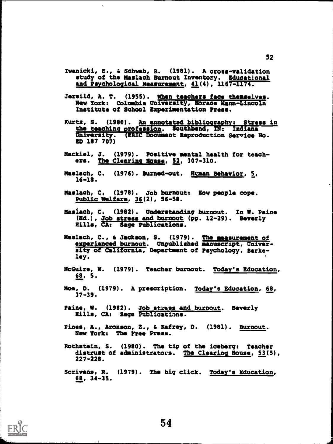- Iwanicki, E., a Schwab, R. (1981). A cross-validation study of the Maslach Burnout Inventory. Educational and Psychological Measurement, 41(4), 1167-II74.
- Jersild, A. T. (1955). When teachers face themselves. New York: Columbia University, Horace Mann-Lincoln Institute of School Experimentation Press.
- Kurtz, S. (1980). An annotated bibliography: Stress in the teaching profession. Southbend, IN: Indiana University. (ERIC Document Reproduction Service No. ED 187 707)
- Mackiel, J. (1979). Positive mental health for teachers. The Clearing House, 52, 307-310.
- Maslach, C. (1976). Burned-out. Wuhan Behavior, 5, 16-18.
- Maslach, C. (1978). Job burnout: Bow people cope. Public Welfare, 36(2), 56-58.
- Maslach, C. (1982). Understanding burnout. In W. Paine (Ed.), Job stress and burnout (pp. 12-29). Beverly Hills, CA: Sage Publications.
- Maslach, C., s Jackson, S. (1979). The measurement of experienced burnout. Unpublished manuscript, University of California, Department of Psychology, Berkeley.
- mcGuirs, W. (1979). Teacher burnout. Today's Education, 68, 5.
- Moe, D. (1979). A prescription. Today's Education, 68, 37-39.
- Paine, W. (1982). Job stress and burnout. Beverly Hills, CA: Sage Publications.
- Pines, A., Aronson, 2., a Kafrey, D. (1981). Burnout. New York: The Free Press.
- Rothstein, S. (1980). The tip of the iceberg: Teacher distrust of administrators. The Clearing House, 53(5), 227-228.
- Scrivens, R. (1979). The big click. Today's education, 68, 34-35.

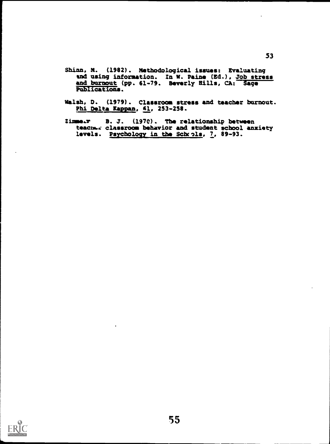- Shinn, M. (1982). Methodological issues: Evaluating and using information. In W. Paine (Ed.), Job stress and burnout (pp. 61-79. Beverly Hills, CA: Sage Publications.
- Walsh, D. (1979). Classroom stress and teacher burnout. Phi Delta Kappan, 61, 253-258.
- Zimmeam B. J. (1970). The relationship between teaches classroom behavior and student school anxiety levels. Psychology in the Schrols, 7, 89-93.

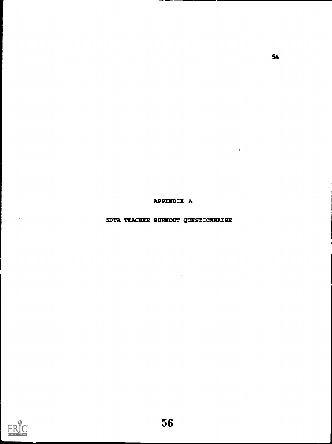APPENDIX A

 $\ddot{\phantom{a}}$ 

SDTA TEACHER BURNOUT QUESTIONNAIRE



 $\bullet$ 

 $\sim$   $\bar{\rm E}$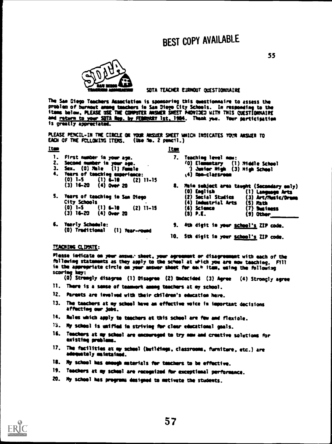

#### SOTA TEACHER EURMOUT QUESTIONNAIRE

The Si. Ciego Teachers Association is sponsorimg this questionnaire to 44344S the Problem of burnout among teachers in San Mese City Schools. In remolding to the itbee below, PLEASE 3SE THE COMPUTER AM ER SHEET PADVIDEC WITH THIS QUISTIOMMAIII amd <u>return to your SOTA lies, by FERNARY 1st, 1904</u>. Theak you. Your participation fe greatly appreciated.

PLEASE PE4CIL-IN THE CIRCLE OK YOUR AMER SHEET WHICH INDICATES YOUR ANSWER TO EACH OF THE PCLLOMING ITEMS. (Use ite. 2 pemcil.)

#### Item Item

- 1. First number in your age.
- 
- 2. Sneed musemer ie yew age. 3. sm. (0) Mee (1) Female
- 4. Years of teaching experience: (0) 1-S (1) 4.10 (2) 11.15 (3) 16-20 (4) Over ZO
- S. Tears of teaching ie Sae Diego City Schools<br>(0)  $1-5$  (1) 6-10 (0) 1-S (1) 6-10 (2) 11-15  $(4)$  Over 20
- 6. Yearly Schedule: (0) Traditional (1) fear-round
- 7. Teaching level nom: tO) Elesmetary (1) Middle School 1 amnia. Nigh (3) Nigh Scheel
	- t4) Bee-classreso
- S. Maio subject area taught (Secondary only)<br>(0) English (1) Language Arts (0) English (1) Language Arts (3) Art/Nusic/Drema<br>(5) Math (4) Industrial Arts (S) Math  $(6)$  Science<br> $(3)$  P.E.  $(9)$  Other
- 0. 4th digit is year school's ZIP code.
- 10. Sth digit to your school's ZIP code.

#### TEACHING CLIMATE:

Please foliate as your answe. sheet, year agreeneet or disagreement with each of the fallowing statements as they apply to the school at which you are now teaching. Fill ie the appropriate circle on your answer sheet for each item, using the following stories key:

(0) Strongly disagree (1) Disagree (2) Undecided (3) Agree (4) Strongly agree

- 11. There is a sense of teammerk among teachers at my school.
- 12. Parents are involved with their children's education here.
- 13. The teachers at my school have as effective voice in imeortast decisions affecting our jobs.
- 14. Rules which apply to teachers at this school are few and flexiole.
- 75. My school is unified in striving for clear educational goals.
- 16. Teachers at op school are encouraged to try mew and creative solutions for existing problems.
- 17. The facilities at my school (buildings, classrooms, furniture, etc.) are adequetely maintained.
- 18. My school has enough materials for teachers to be effective.
- 19. Teachers at my school are recognized for exceptional performance.
- 20. My school has programs designed to motivate the students.

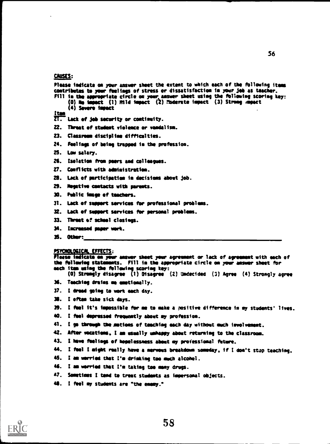# CAUSES:

|              | Please indicate on your answer sheet the extent to which each of the following items<br>contributes to your feelings of stress or dissatisfaction in your job as teacher.<br>Fill in the appropriate circle on your answer sheet using the following scoring key:<br>$(0)$ He impact $(1)$ Hild impact $(2)$ Moderate impact $(3)$ Strong mapact<br>(4) Severe immect |
|--------------|-----------------------------------------------------------------------------------------------------------------------------------------------------------------------------------------------------------------------------------------------------------------------------------------------------------------------------------------------------------------------|
| <u> [tan</u> | ZT. Lack of job security or continuity.                                                                                                                                                                                                                                                                                                                               |
| 22.          | Threat of student violence or vandalism.                                                                                                                                                                                                                                                                                                                              |
| 23.          | Classroom discipline difficulties.                                                                                                                                                                                                                                                                                                                                    |
| 24.          | Feelings of being trapped in the profession.                                                                                                                                                                                                                                                                                                                          |
| 25.          | Low salary.                                                                                                                                                                                                                                                                                                                                                           |
| 26.          | Isolation from poers and colleagues.                                                                                                                                                                                                                                                                                                                                  |
| 27.          | Conflicts with administration.                                                                                                                                                                                                                                                                                                                                        |
| 28.          | Lack of participation in decisions about job.                                                                                                                                                                                                                                                                                                                         |
| 29.          | Mogative contacts with parents.                                                                                                                                                                                                                                                                                                                                       |
| 30.          | Fublic image of teachers.                                                                                                                                                                                                                                                                                                                                             |
| 31.          | Lack of support services for professional problems.                                                                                                                                                                                                                                                                                                                   |
|              | 32. Lack of support services for personal problems.                                                                                                                                                                                                                                                                                                                   |
| 33.          | Threat of school clasings.                                                                                                                                                                                                                                                                                                                                            |
| 34.          | Increased paper work.                                                                                                                                                                                                                                                                                                                                                 |
|              | 35. Other:__                                                                                                                                                                                                                                                                                                                                                          |
|              |                                                                                                                                                                                                                                                                                                                                                                       |
|              | PSYCHOLOGICAL EFFECTS:<br>Please indicate on your answer sheet your agreement or lack of agreement with each of<br>the following statements. Fill in the appropriate circle on your answer sheet for<br>each item using the following scoring key:<br>(0) Strongly disagree (1) Disagree (2) Undecided (3) Agree (4) Strongly agree                                   |
|              | 36. Teaching drains me emptionally.                                                                                                                                                                                                                                                                                                                                   |
| 37.          | I dread going to work each day.                                                                                                                                                                                                                                                                                                                                       |
| ж.           | I often take sick days.                                                                                                                                                                                                                                                                                                                                               |
| 39.          | I fuel it's impossible for me to make a positive difference in my students' lives.                                                                                                                                                                                                                                                                                    |
| 40.          | I feel depressed frequently about my profession.                                                                                                                                                                                                                                                                                                                      |
| 41.          | I go through the mations of teaching each day without much involvement.                                                                                                                                                                                                                                                                                               |
| 42.          | After vecations, I am usually unhappy about returning to the classroom.                                                                                                                                                                                                                                                                                               |
| 43.          | I have feelings of hopelessness about my professional future.                                                                                                                                                                                                                                                                                                         |
| 44.          | I feel I might really have a mervous breakdown someday, if I don't stup teaching.                                                                                                                                                                                                                                                                                     |

- 46. I am worried that I'm taking too many drugs.
- 41. Sometimes I tend to treat students as impersonal objects.
- 48. I feel my students are "the enemy."